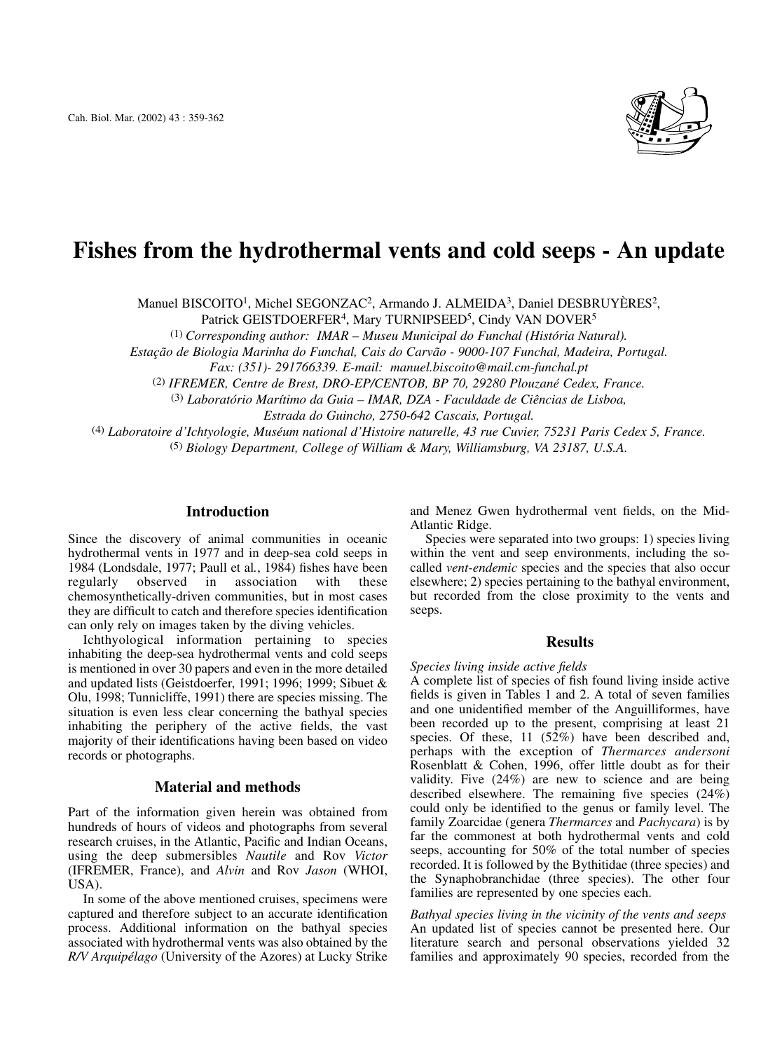

# **Fishes from the hydrothermal vents and cold seeps - An update**

Manuel BISCOITO1, Michel SEGONZAC2, Armando J. ALMEIDA3, Daniel DESBRUYÈRES2,

Patrick GEISTDOERFER<sup>4</sup>, Mary TURNIPSEED<sup>5</sup>, Cindy VAN DOVER<sup>5</sup>

(1) *Corresponding author: IMAR – Museu Municipal do Funchal (História Natural).* 

*Estação de Biologia Marinha do Funchal, Cais do Carvão - 9000-107 Funchal, Madeira, Portugal.* 

*Fax: (351)- 291766339. E-mail: manuel.biscoito@mail.cm-funchal.pt* 

(2) *IFREMER, Centre de Brest, DRO-EP/CENTOB, BP 70, 29280 Plouzané Cedex, France.*

(3) *Laboratório Marítimo da Guia – IMAR, DZA - Faculdade de Ciências de Lisboa, Estrada do Guincho, 2750-642 Cascais, Portugal.*

(4) *Laboratoire d'Ichtyologie, Muséum national d'Histoire naturelle, 43 rue Cuvier, 75231 Paris Cedex 5, France.*

(5) *Biology Department, College of William & Mary, Williamsburg, VA 23187, U.S.A.*

## **Introduction**

Since the discovery of animal communities in oceanic hydrothermal vents in 1977 and in deep-sea cold seeps in 1984 (Londsdale, 1977; Paull et al*.*, 1984) fishes have been regularly observed in association with these chemosynthetically-driven communities, but in most cases they are difficult to catch and therefore species identification can only rely on images taken by the diving vehicles.

Ichthyological information pertaining to species inhabiting the deep-sea hydrothermal vents and cold seeps is mentioned in over 30 papers and even in the more detailed and updated lists (Geistdoerfer, 1991; 1996; 1999; Sibuet & Olu, 1998; Tunnicliffe, 1991) there are species missing. The situation is even less clear concerning the bathyal species inhabiting the periphery of the active fields, the vast majority of their identifications having been based on video records or photographs.

# **Material and methods**

Part of the information given herein was obtained from hundreds of hours of videos and photographs from several research cruises, in the Atlantic, Pacific and Indian Oceans, using the deep submersibles *Nautile* and Rov *Victor* (IFREMER, France), and *Alvin* and Rov *Jason* (WHOI, USA).

In some of the above mentioned cruises, specimens were captured and therefore subject to an accurate identification process. Additional information on the bathyal species associated with hydrothermal vents was also obtained by the *R/V Arquipélago* (University of the Azores) at Lucky Strike and Menez Gwen hydrothermal vent fields, on the Mid-Atlantic Ridge.

Species were separated into two groups: 1) species living within the vent and seep environments, including the socalled *vent-endemic* species and the species that also occur elsewhere; 2) species pertaining to the bathyal environment, but recorded from the close proximity to the vents and seeps.

## **Results**

#### *Species living inside active fields*

A complete list of species of fish found living inside active fields is given in Tables 1 and 2. A total of seven families and one unidentified member of the Anguilliformes, have been recorded up to the present, comprising at least 21 species. Of these, 11 (52%) have been described and, perhaps with the exception of *Thermarces andersoni* Rosenblatt & Cohen, 1996, offer little doubt as for their validity. Five (24%) are new to science and are being described elsewhere. The remaining five species (24%) could only be identified to the genus or family level. The family Zoarcidae (genera *Thermarces* and *Pachycara*) is by far the commonest at both hydrothermal vents and cold seeps, accounting for 50% of the total number of species recorded. It is followed by the Bythitidae (three species) and the Synaphobranchidae (three species). The other four families are represented by one species each.

*Bathyal species living in the vicinity of the vents and seeps* An updated list of species cannot be presented here. Our literature search and personal observations yielded 32 families and approximately 90 species, recorded from the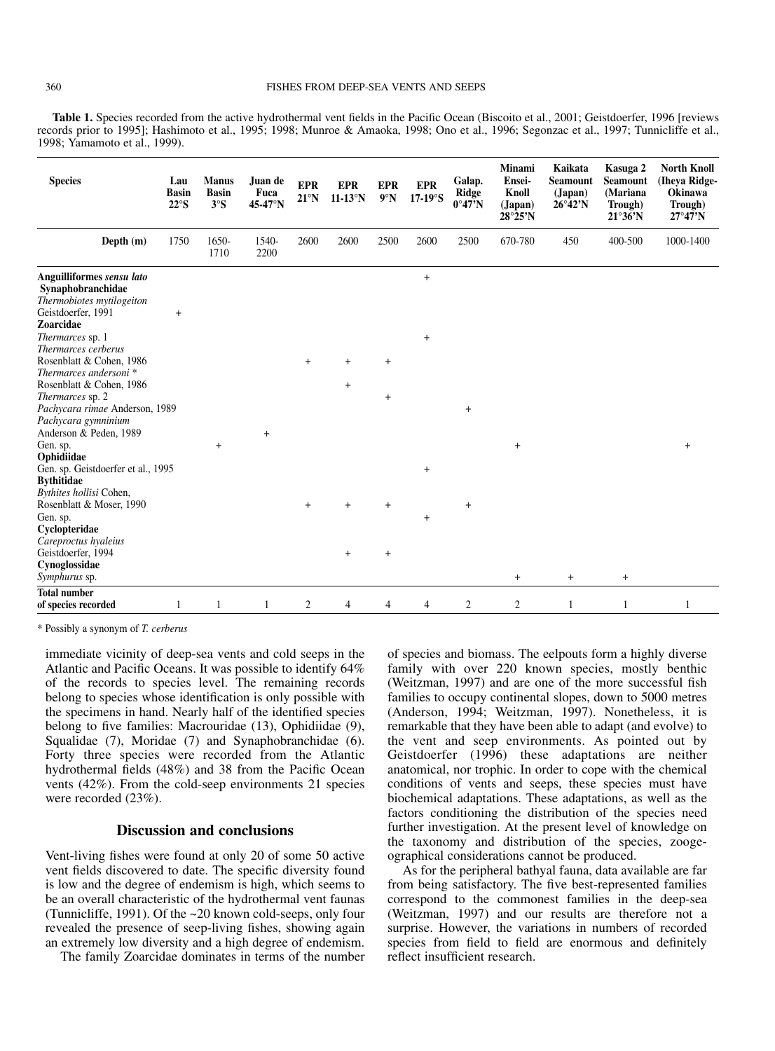**Table 1.** Species recorded from the active hydrothermal vent fields in the Pacific Ocean (Biscoito et al., 2001; Geistdoerfer, 1996 [reviews records prior to 1995]; Hashimoto et al., 1995; 1998; Munroe & Amaoka, 1998; Ono et al., 1996; Segonzac et al., 1997; Tunnicliffe et al., 1998; Yamamoto et al., 1999).

| <b>Species</b>                                                                                                                                                         | Lau<br><b>Basin</b><br>$22^{\circ}$ S | <b>Manus</b><br><b>Basin</b><br>3°S | Juan de<br>Fuca<br>45-47°N | <b>EPR</b><br>$21^{\circ}$ N | <b>EPR</b><br>$11-13°N$ | <b>EPR</b><br>9°N            | <b>EPR</b><br>$17-19^\circ$ S | Galap.<br><b>Ridge</b><br>$0^{\circ}47'N$ | <b>Minami</b><br>Ensei-<br>Knoll<br>(Japan)<br>$28^{\circ}25^{\prime}N$ | Kaikata<br>Seamount<br>(Japan)<br>$26^{\circ}42^{\prime}N$ | Kasuga 2<br><b>Seamount</b><br>(Mariana<br>Trough)<br>$21^{\circ}36^{\prime}N$ | <b>North Knoll</b><br>(Iheya Ridge-<br><b>Okinawa</b><br>Trough)<br>$27^{\circ}47'$ N |
|------------------------------------------------------------------------------------------------------------------------------------------------------------------------|---------------------------------------|-------------------------------------|----------------------------|------------------------------|-------------------------|------------------------------|-------------------------------|-------------------------------------------|-------------------------------------------------------------------------|------------------------------------------------------------|--------------------------------------------------------------------------------|---------------------------------------------------------------------------------------|
| Depth (m)                                                                                                                                                              | 1750                                  | 1650-<br>1710                       | 1540-<br>2200              | 2600                         | 2600                    | 2500                         | 2600                          | 2500                                      | 670-780                                                                 | 450                                                        | 400-500                                                                        | 1000-1400                                                                             |
| Anguilliformes sensu lato<br>Synaphobranchidae<br>Thermobiotes mytilogeiton<br>Geistdoerfer, 1991<br><b>Zoarcidae</b><br>Thermarces sp. 1<br>Thermarces cerberus       | $+$                                   |                                     |                            |                              |                         |                              | $\ddot{}$<br>$\ddot{}$        |                                           |                                                                         |                                                            |                                                                                |                                                                                       |
| Rosenblatt & Cohen, 1986<br>Thermarces andersoni <sup>*</sup><br>Rosenblatt & Cohen, 1986<br>Thermarces sp. 2<br>Pachycara rimae Anderson, 1989<br>Pachycara gymninium |                                       |                                     |                            | $\ddot{}$                    | $\pm$<br>$+$            | $\ddot{}$<br>$\! + \!\!\!\!$ |                               | $\ddot{}$                                 |                                                                         |                                                            |                                                                                |                                                                                       |
| Anderson & Peden, 1989<br>Gen. sp.<br>Ophidiidae<br>Gen. sp. Geistdoerfer et al., 1995<br><b>Bythitidae</b><br>Bythites hollisi Cohen,<br>Rosenblatt & Moser, 1990     |                                       | $\ddot{}$                           | $\ddot{}$                  | $\ddot{}$                    | $\ddot{}$               | $\ddot{}$                    | $+$                           | $^{+}$                                    | $\ddot{}$                                                               |                                                            |                                                                                | $\ddot{}$                                                                             |
| Gen. sp.<br>Cyclopteridae<br>Careproctus hyaleius<br>Geistdoerfer, 1994<br>Cynoglossidae<br>Symphurus sp.                                                              |                                       |                                     |                            |                              | $+$                     | $\! + \!\!\!\!$              | $\ddot{}$                     |                                           | $\ddot{}$                                                               | $\ddot{}$                                                  | $\ddot{}$                                                                      |                                                                                       |
| <b>Total number</b><br>of species recorded                                                                                                                             | 1                                     | 1                                   | 1                          | $\overline{2}$               | 4                       | 4                            | 4                             | $\overline{c}$                            | $\overline{2}$                                                          | $\mathbf{1}$                                               | 1                                                                              | 1                                                                                     |

\* Possibly a synonym of *T. cerberus*

immediate vicinity of deep-sea vents and cold seeps in the Atlantic and Pacific Oceans. It was possible to identify 64% of the records to species level. The remaining records belong to species whose identification is only possible with the specimens in hand. Nearly half of the identified species belong to five families: Macrouridae (13), Ophidiidae (9), Squalidae (7), Moridae (7) and Synaphobranchidae (6). Forty three species were recorded from the Atlantic hydrothermal fields (48%) and 38 from the Pacific Ocean vents (42%). From the cold-seep environments 21 species were recorded (23%).

# **Discussion and conclusions**

Vent-living fishes were found at only 20 of some 50 active vent fields discovered to date. The specific diversity found is low and the degree of endemism is high, which seems to be an overall characteristic of the hydrothermal vent faunas (Tunnicliffe, 1991). Of the ~20 known cold-seeps, only four revealed the presence of seep-living fishes, showing again an extremely low diversity and a high degree of endemism.

The family Zoarcidae dominates in terms of the number

of species and biomass. The eelpouts form a highly diverse family with over 220 known species, mostly benthic (Weitzman, 1997) and are one of the more successful fish families to occupy continental slopes, down to 5000 metres (Anderson, 1994; Weitzman, 1997). Nonetheless, it is remarkable that they have been able to adapt (and evolve) to the vent and seep environments. As pointed out by Geistdoerfer (1996) these adaptations are neither anatomical, nor trophic. In order to cope with the chemical conditions of vents and seeps, these species must have biochemical adaptations. These adaptations, as well as the factors conditioning the distribution of the species need further investigation. At the present level of knowledge on the taxonomy and distribution of the species, zoogeographical considerations cannot be produced.

As for the peripheral bathyal fauna, data available are far from being satisfactory. The five best-represented families correspond to the commonest families in the deep-sea (Weitzman, 1997) and our results are therefore not a surprise. However, the variations in numbers of recorded species from field to field are enormous and definitely reflect insufficient research.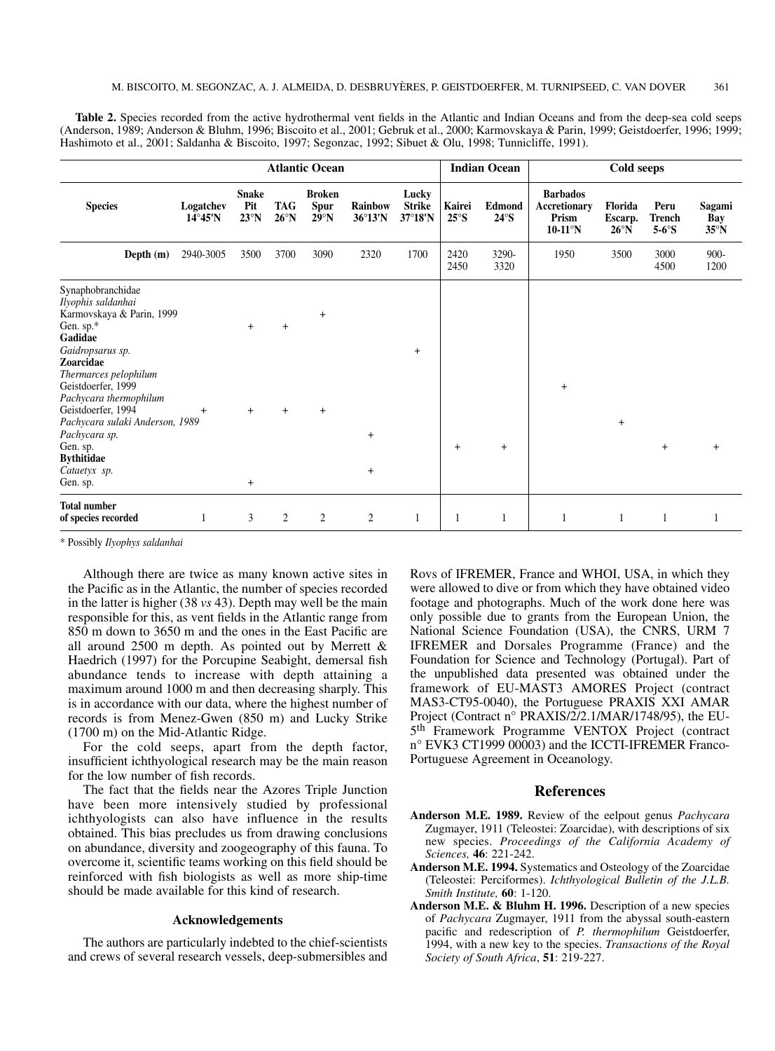Table 2. Species recorded from the active hydrothermal vent fields in the Atlantic and Indian Oceans and from the deep-sea cold seeps (Anderson, 1989; Anderson & Bluhm, 1996; Biscoito et al., 2001; Gebruk et al., 2000; Karmovskaya & Parin, 1999; Geistdoerfer, 1996; 1999; Hashimoto et al., 2001; Saldanha & Biscoito, 1997; Segonzac, 1992; Sibuet & Olu, 1998; Tunnicliffe, 1991).

|                                                                                                                                                                                                  | <b>Atlantic Ocean</b>          |                                      |                       |                                               |                     |                                   |                          | <b>Indian Ocean</b>    | Cold seeps                                                         |                                      |                                        |                                 |  |
|--------------------------------------------------------------------------------------------------------------------------------------------------------------------------------------------------|--------------------------------|--------------------------------------|-----------------------|-----------------------------------------------|---------------------|-----------------------------------|--------------------------|------------------------|--------------------------------------------------------------------|--------------------------------------|----------------------------------------|---------------------------------|--|
| <b>Species</b>                                                                                                                                                                                   | Logatchev<br>$14^{\circ}45'$ N | <b>Snake</b><br>Pit<br>$23^{\circ}N$ | TAG<br>$26^{\circ}$ N | <b>Broken</b><br><b>Spur</b><br>$29^{\circ}N$ | Rainbow<br>36°13'N  | Lucky<br><b>Strike</b><br>37°18'N | Kairei<br>$25^{\circ}$ S | Edmond<br>$24^\circ$ S | <b>Barbados</b><br><b>Accretionary</b><br>Prism<br>$10-11^\circ N$ | Florida<br>Escarp.<br>$26^{\circ}$ N | Peru<br><b>Trench</b><br>$5-6^\circ$ S | Sagami<br>Bay<br>$35^{\circ}$ N |  |
| Depth (m)                                                                                                                                                                                        | 2940-3005                      | 3500                                 | 3700                  | 3090                                          | 2320                | 1700                              | 2420<br>2450             | 3290-<br>3320          | 1950                                                               | 3500                                 | 3000<br>4500                           | $900 -$<br>1200                 |  |
| Synaphobranchidae<br>Ilyophis saldanhai<br>Karmovskaya & Parin, 1999<br>Gen. sp.*<br>Gadidae<br>Gaidropsarus sp.<br><b>Zoarcidae</b>                                                             |                                | $+$                                  | $+$                   | $\ddot{}$                                     |                     | $\ddot{}$                         |                          |                        |                                                                    |                                      |                                        |                                 |  |
| Thermarces pelophilum<br>Geistdoerfer, 1999<br>Pachycara thermophilum<br>Geistdoerfer, 1994<br>Pachycara sulaki Anderson, 1989<br>Pachycara sp.<br>Gen. sp.<br><b>Bythitidae</b><br>Cataetyx sp. | $+$                            | $\ddot{}$                            | $+$                   | $+$                                           | $\ddot{}$<br>$^{+}$ |                                   | $+$                      | $+$                    | $+$                                                                | $\ddot{}$                            | $\ddot{}$                              | $+$                             |  |
| Gen. sp.                                                                                                                                                                                         |                                | $\ddot{}$                            |                       |                                               |                     |                                   |                          |                        |                                                                    |                                      |                                        |                                 |  |
| <b>Total number</b><br>of species recorded                                                                                                                                                       | 1                              | 3                                    | 2                     | $\overline{2}$                                | $\overline{c}$      | 1                                 | 1                        |                        | 1                                                                  | -1                                   | -1                                     |                                 |  |

\* Possibly *Ilyophys saldanhai*

Although there are twice as many known active sites in the Pacific as in the Atlantic, the number of species recorded in the latter is higher (38 *vs* 43). Depth may well be the main responsible for this, as vent fields in the Atlantic range from 850 m down to 3650 m and the ones in the East Pacific are all around 2500 m depth. As pointed out by Merrett & Haedrich (1997) for the Porcupine Seabight, demersal fish abundance tends to increase with depth attaining a maximum around 1000 m and then decreasing sharply. This is in accordance with our data, where the highest number of records is from Menez-Gwen (850 m) and Lucky Strike (1700 m) on the Mid-Atlantic Ridge.

For the cold seeps, apart from the depth factor, insufficient ichthyological research may be the main reason for the low number of fish records.

The fact that the fields near the Azores Triple Junction have been more intensively studied by professional ichthyologists can also have influence in the results obtained. This bias precludes us from drawing conclusions on abundance, diversity and zoogeography of this fauna. To overcome it, scientific teams working on this field should be reinforced with fish biologists as well as more ship-time should be made available for this kind of research.

#### **Acknowledgements**

The authors are particularly indebted to the chief-scientists and crews of several research vessels, deep-submersibles and

Rovs of IFREMER, France and WHOI, USA, in which they were allowed to dive or from which they have obtained video footage and photographs. Much of the work done here was only possible due to grants from the European Union, the National Science Foundation (USA), the CNRS, URM 7 IFREMER and Dorsales Programme (France) and the Foundation for Science and Technology (Portugal). Part of the unpublished data presented was obtained under the framework of EU-MAST3 AMORES Project (contract MAS3-CT95-0040), the Portuguese PRAXIS XXI AMAR Project (Contract n° PRAXIS/2/2.1/MAR/1748/95), the EU-5th Framework Programme VENTOX Project (contract n° EVK3 CT1999 00003) and the ICCTI-IFREMER Franco-Portuguese Agreement in Oceanology.

## **References**

- **Anderson M.E. 1989.** Review of the eelpout genus *Pachycara* Zugmayer, 1911 (Teleostei: Zoarcidae), with descriptions of six new species. *Proceedings of the California Academy of Sciences,* **46**: 221-242.
- **Anderson M.E. 1994.** Systematics and Osteology of the Zoarcidae (Teleostei: Perciformes). *Ichthyological Bulletin of the J.L.B. Smith Institute,* **60**: 1-120.
- **Anderson M.E. & Bluhm H. 1996.** Description of a new species of *Pachycara* Zugmayer, 1911 from the abyssal south-eastern pacific and redescription of *P. thermophilum* Geistdoerfer, 1994, with a new key to the species. *Transactions of the Royal Society of South Africa*, **51**: 219-227.